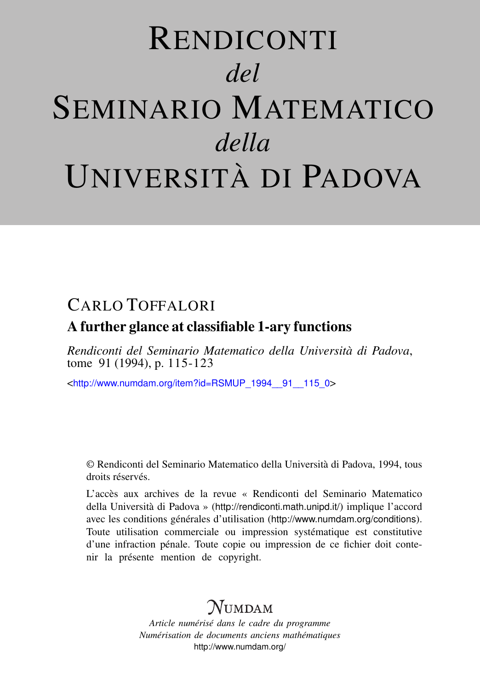# RENDICONTI *del* SEMINARIO MATEMATICO *della* UNIVERSITÀ DI PADOVA

## CARLO TOFFALORI

### A further glance at classifiable 1-ary functions

*Rendiconti del Seminario Matematico della Università di Padova*, tome 91 (1994), p. 115-123

<[http://www.numdam.org/item?id=RSMUP\\_1994\\_\\_91\\_\\_115\\_0](http://www.numdam.org/item?id=RSMUP_1994__91__115_0)>

© Rendiconti del Seminario Matematico della Università di Padova, 1994, tous droits réservés.

L'accès aux archives de la revue « Rendiconti del Seminario Matematico della Università di Padova » (<http://rendiconti.math.unipd.it/>) implique l'accord avec les conditions générales d'utilisation (<http://www.numdam.org/conditions>). Toute utilisation commerciale ou impression systématique est constitutive d'une infraction pénale. Toute copie ou impression de ce fichier doit contenir la présente mention de copyright.

# $\mathcal N$ umdam

*Article numérisé dans le cadre du programme Numérisation de documents anciens mathématiques* <http://www.numdam.org/>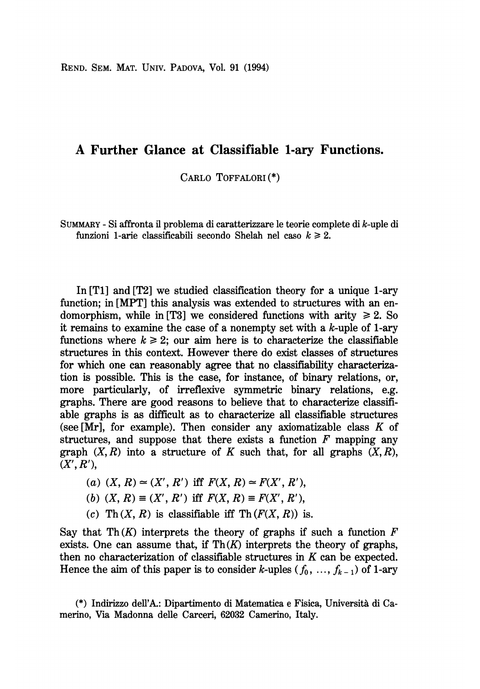REND. SEM. MAT. UNIV. PADOVA, Vol. 91 (1994)

#### A Further Glance at Classifiable 1-ary Functions.

CARLO TOFFALORI (\*)

SUMMARY - Si affronta il problema di caratterizzare le teorie complete di k-uple di funzioni 1-arie classificabili secondo Shelah nel caso  $k \ge 2$ .

In [T1] and [T2] we studied classification theory for a unique 1-ary function; in [MPT] this analysis was extended to structures with an endomorphism, while in [T3] we considered functions with arity  $\geq 2$ . So it remains to examine the case of a nonempty set with a  $k$ -uple of 1-ary functions where  $k \geq 2$ ; our aim here is to characterize the classifiable structures in this context. However there do exist classes of structures for which one can reasonably agree that no classifiability characterization is possible. This is the case, for instance, of binary relations, or, more particularly, of irreflexive symmetric binary relations, e.g. graphs. There are good reasons to believe that to characterize classifiable graphs is as difficult as to characterize all classifiable structures (see [Mr], for example). Then consider any axiomatizable class  $K$  of structures, and suppose that there exists a function  $F$  mapping any graph  $(X, R)$  into a structure of K such that, for all graphs  $(X, R)$ ,  $(X', R'),$ 

- (a)  $(X, R) \simeq (X', R')$  iff  $F(X, R) \simeq F(X', R'),$
- (b)  $(X, R) \equiv (X', R')$  iff  $F(X, R) \equiv F(X', R')$ ,
- (c) Th $(X, R)$  is classifiable iff Th $(F(X, R))$  is.

Say that Th $(K)$  interprets the theory of graphs if such a function F exists. One can assume that, if  $\text{Th}(K)$  interprets the theory of graphs, then no characterization of classifiable structures in  $K$  can be expected. Hence the aim of this paper is to consider k-uples  $(f_0, ..., f_{k-1})$  of 1-ary

(\*) Indirizzo deH'A.: Dipartimento di Matematica e Fisica, Universita di Camerino, Via Madonna delle Carceri, 62032 Camerino, Italy.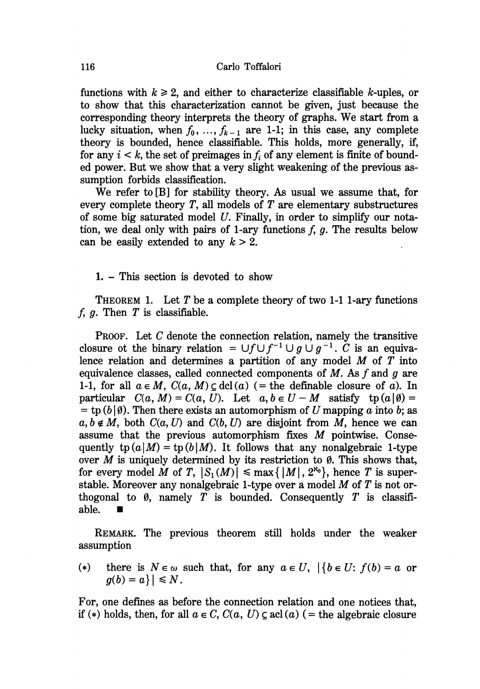functions with  $k \ge 2$ , and either to characterize classifiable k-uples, or to show that this characterization cannot be given, just because the corresponding theory interprets the theory of graphs. We start from a lucky situation, when  $f_0, ..., f_{k-1}$  are 1-1; in this case, any complete theory is bounded, hence classifiable. This holds, more generally, if, for any  $i < k$ , the set of preimages in f<sub>i</sub> of any element is finite of bounded power. But we show that a very slight weakening of the previous assumption forbids classification.

We refer to [B] for stability theory. As usual we assume that, for every complete theory  $T$ , all models of  $T$  are elementary substructures of some big saturated model U. Finally, in order to simplify our notation, we deal only with pairs of 1-ary functions  $f$ ,  $g$ . The results below can be easily extended to any  $k > 2$ .

1. - This section is devoted to show

THEOREM 1. Let T be a complete theory of two 1-1 1-ary functions  $f, g$ . Then  $T$  is classifiable.

PROOF. Let C denote the connection relation, namely the transitive closure ot the binary relation =  $\bigcup f \bigcup f^{-1} \bigcup g \bigcup g^{-1}$ . C is an equivalence relation and determines a partition of any model  $M$  of  $T$  into equivalence classes, called connected components of  $M$ . As  $f$  and  $g$  are 1-1, for all  $a \in M$ ,  $C(a, M) \subset \text{dcl}(a)$  (= the definable closure of a). In particular  $C(a, M) = C(a, U)$ . Let  $a, b \in U - M$  satisfy  $tp(a | \emptyset) =$ <br>= tp  $(b | \emptyset)$ . Then there exists an automorphism of U mapping a into b; as  $a, b \notin M$ , both  $C(a, U)$  and  $C(b, U)$  are disjoint from M, hence we can assume that the previous automorphism fixes M pointwise. Consequently  $\text{tp}(a|M) = \text{tp}(b|M)$ . It follows that any nonalgebraic 1-type over  $M$  is uniquely determined by its restriction to 0. This shows that, for every model M of T,  $|S_1(M)| \le \max\{|M|, 2^{\aleph_0}\}\)$ , hence T is superstable. Moreover any nonalgebraic 1-type over a model  $M$  of  $T$  is not orthogonal to  $\emptyset$ , namely T is bounded. Consequently T is classifiable.

REMARK. The previous theorem still holds under the weaker assumption

(\*) there is  $N \in \omega$  such that, for any  $a \in U$ ,  $\{b \in U : f(b) = a \text{ or }$  $g(b) = a$ }  $| \leq N$ .

For, one defines as before the connection relation and one notices that, if (\*) holds, then, for all  $a \in C$ ,  $C(a, U) \subseteq \text{acl}(a)$  (= the algebraic closure

116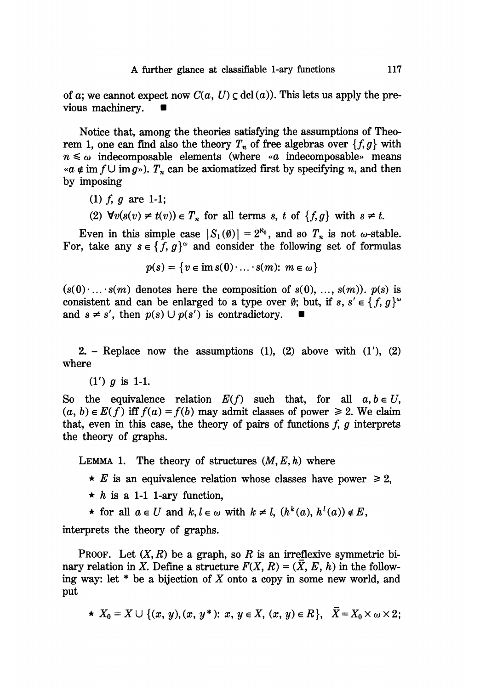of a; we cannot expect now  $C(a, U) \subset \text{dcl}(a)$ . This lets us apply the previous machinery.

Notice that, among the theories satisfying the assumptions of Theorem 1, one can find also the theory  $T_n$  of free algebras over  $\{f, g\}$  with  $n \leq \omega$  indecomposable elements (where «a indecomposable» means « $a \notin \text{im } f \cup \text{im } g$ »).  $T_n$  can be axiomatized first by specifying n, and then by imposing

- (1)  $f, g$  are 1-1;
- (2)  $\forall v(s(v) \neq t(v)) \in T_n$  for all terms s, t of  $\{f, g\}$  with  $s \neq t$ .

Even in this simple case  $|S_1(\emptyset)| = 2^{\aleph_0}$ , and so  $T_n$  is not  $\omega$ -stable. For, take any  $s \in \{f, g\}^{\omega}$  and consider the following set of formulas

$$
p(s) = \{v \in \text{im } s(0) \cdot \ldots \cdot s(m): m \in \omega\}
$$

 $(s(0) \dots s(m)$  denotes here the composition of  $s(0), \dots, s(m)$ .  $p(s)$  is consistent and can be enlarged to a type over  $\emptyset$ ; but, if s, s'  $\in \{f, g\}^{\omega}$ and  $s \neq s'$ , then  $p(s) \cup p(s')$  is contradictory.

2. - Replace now the assumptions  $(1)$ ,  $(2)$  above with  $(1')$ ,  $(2)$ where

 $(1')$  g is 1-1.

So the equivalence relation  $E(f)$  such that, for all  $a, b \in U$ ,  $(a, b) \in E(f)$  iff  $f(a) = f(b)$  may admit classes of power  $\ge 2$ . We claim that, even in this case, the theory of pairs of functions  $f$ ,  $g$  interprets the theory of graphs.

LEMMA 1. The theory of structures  $(M, E, h)$  where

- $\star$  E is an equivalence relation whose classes have power  $\geq 2$ ,
- $\star$  h is a 1-1 1-ary function,
- ★ for all  $a \in U$  and  $k, l \in \omega$  with  $k \neq l$ ,  $(h^k(a), h^l(a)) \notin E$ ,

interprets the theory of graphs.

**PROOF.** Let  $(X, R)$  be a graph, so R is an irreflexive symmetric binary relation in X. Define a structure  $F(X, R) = (X, E, h)$  in the following way: let  $*$  be a bijection of X onto a copy in some new world, and put

$$
\star X_0=X\cup \{(x, y), (x, y^*)\colon x, y\in X, (x, y)\in R\}, X=X_0\times \omega\times 2;
$$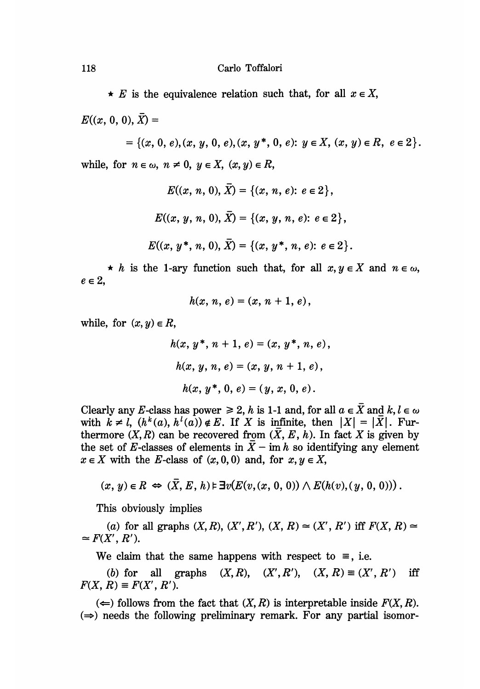$\star$  E is the equivalence relation such that, for all  $x \in X$ ,

 $E((x, 0, 0), \overline{X}) =$ 

= { $(x, 0, e), (x, y, 0, e), (x, y^*, 0, e)$ :  $y \in X$ ,  $(x, y) \in R$ ,  $e \in 2$  }. while, for  $n \in \omega$ ,  $n \neq 0$ ,  $y \in X$ ,  $(x, y) \in R$ ,

$$
E((x, n, 0), \overline{X}) = \{(x, n, e): e \in 2\},
$$
  

$$
E((x, y, n, 0), \overline{X}) = \{(x, y, n, e): e \in 2\},
$$
  

$$
E((x, y^*, n, 0), \overline{X}) = \{(x, y^*, n, e): e \in 2\}.
$$

 $\star$  h is the 1-ary function such that, for all  $x, y \in X$  and  $n \in \omega$ ,  $e \in 2$ ,

$$
h(x, n, e) = (x, n + 1, e),
$$

while, for  $(x, y) \in R$ ,

$$
h(x, y^*, n+1, e) = (x, y^*, n, e),
$$
  
\n
$$
h(x, y, n, e) = (x, y, n+1, e),
$$
  
\n
$$
h(x, y^*, 0, e) = (y, x, 0, e).
$$

Clearly any E-class has power  $\geq 2$ , h is 1-1 and, for all  $a \in \overline{X}$  and  $k, l \in \omega$ with  $k \neq l$ ,  $(h^k(a), h^l(a)) \notin E$ . If X is infinite, then  $|X| = |\overline{X}|$ . Furthermore  $(X, R)$  can be recovered from  $(X, E, h)$ . In fact X is given by the set of E-classes of elements in  $\overline{X}$  - im h so identifying any element  $x \in X$  with the E-class of  $(x, 0, 0)$  and, for  $x, y \in X$ ,

$$
(x, y) \in R \iff (\overline{X}, E, h) \models \exists v (E(v, (x, 0, 0)) \land E(h(v), (y, 0, 0)))
$$

This obviously implies

(a) for all graphs  $(X, R), (X', R'), (X, R) \simeq (X', R')$  iff  $F(X, R) \simeq$  $\simeq F(X', R').$ 

We claim that the same happens with respect to  $\equiv$ , i.e.

(b) for all graphs  $(X, R)$ ,  $(X', R'), (X, R) \equiv (X', R')$ iff  $F(X, R) \equiv F(X', R').$ 

 $(\Leftarrow)$  follows from the fact that  $(X, R)$  is interpretable inside  $F(X, R)$ .  $(\Rightarrow)$  needs the following preliminary remark. For any partial isomor-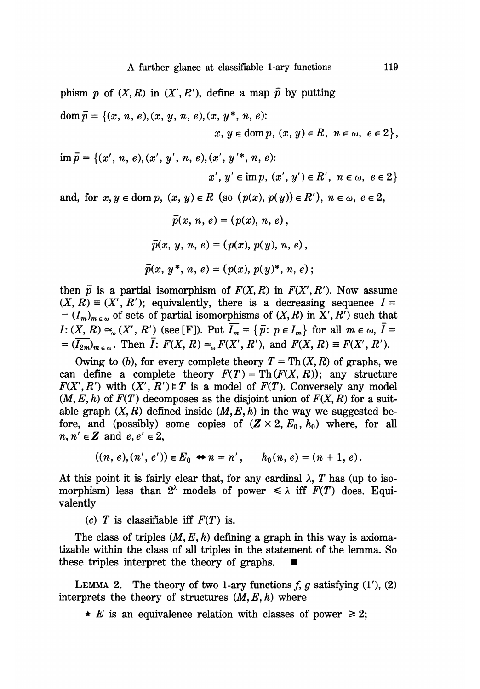$$
\text{dom}\,\overline{p} = \{(x,\,n,\,e), (x,\,y,\,n,\,e), (x,\,y^*,\,n,\,e):
$$
\n
$$
x,\,y \in \text{dom}\,p,\,(x,\,y) \in R,\,\,n \in \omega,\,\,e \in 2\},
$$

 $\overline{m} \overline{p} = \{(x', n, e), (x', y', n, e), (x', y'^*, n, e)\}.$  $x', y' \in \text{im } p, (x', y') \in R', n \in \omega, e \in 2$ 

and, for  $x, y \in \text{dom } p$ ,  $(x, y) \in R$  (so  $(p(x), p(y)) \in R'$ ),  $n \in \omega$ ,  $e \in 2$ ,

$$
\bar{p}(x, n, e) = (p(x), n, e),
$$
  

$$
\bar{p}(x, y, n, e) = (p(x), p(y), n, e),
$$
  

$$
\bar{p}(x, y^*, n, e) = (p(x), p(y)^*, n, e);
$$

then  $\bar{p}$  is a partial isomorphism of  $F(X, R)$  in  $F(X', R')$ . Now assume  $(X, R) \equiv (X', R')$ ; equivalently, there is a decreasing sequence  $I =$  $=(I_m)_{m \in \omega}$  of sets of partial isomorphisms of  $(X, R)$  in  $X', R'$  such that  $I: (X, R) \simeq_{\omega} (X', R')$  (see [F]). Put  $\overline{I_m} = {\overline{p}}$ :  $p \in I_m$ } for all  $m \in \omega$ ,  $\overline{I} =$  $=\left(\overline{I_{2m}}\right)_{m \in \omega}$ . Then  $\overline{I}$ :  $F(X, R) \simeq_{\omega} F(X', R')$ , and  $F(X, R) \equiv F(X', R')$ .

Owing to (b), for every complete theory  $T = Th(X, R)$  of graphs, we can define a complete theory  $F(T) = Th(F(X, R))$ ; any structure  $F(X', R')$  with  $(X', R') \models T$  is a model of  $F(T)$ . Conversely any model  $(M, E, h)$  of  $F(T)$  decomposes as the disjoint union of  $F(X, R)$  for a suitable graph  $(X, R)$  defined inside  $(M, E, h)$  in the way we suggested before, and (possibly) some copies of  $(Z \times 2, E_0, h_0)$  where, for all  $n, n' \in \mathbb{Z}$  and  $e, e' \in 2$ ,

$$
((n, e), (n', e')) \in E_0 \Leftrightarrow n = n', \qquad h_0(n, e) = (n + 1, e).
$$

At this point it is fairly clear that, for any cardinal  $\lambda$ , T has (up to isomorphism) less than  $2^{\lambda}$  models of power  $\leq \lambda$  iff  $F(T)$  does. Equivalently

(c) T is classifiable iff  $F(T)$  is.

The class of triples  $(M, E, h)$  defining a graph in this way is axiomatizable within the class of all triples in the statement of the lemma. So these triples interpret the theory of graphs.

LEMMA 2. The theory of two 1-ary functions  $f, g$  satisfying  $(1'), (2)$ interprets the theory of structures  $(M, E, h)$  where

 $\star$  E is an equivalence relation with classes of power  $\geq 2$ ;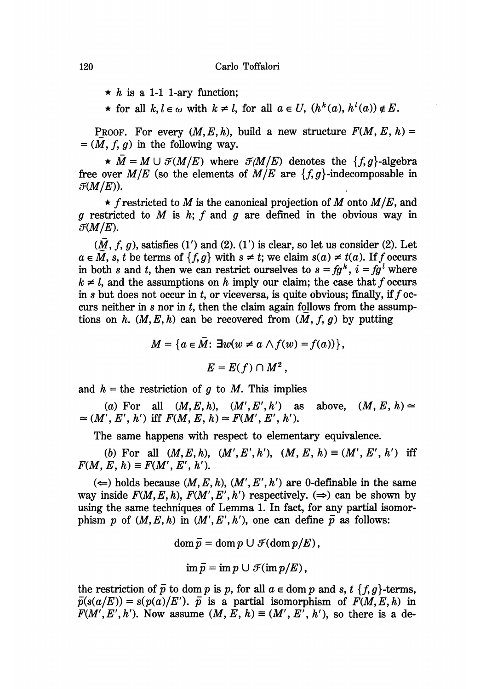$\star$  h is a 1-1 1-ary function;

 $\star$  for all  $k, l \in \omega$  with  $k \neq l$ , for all  $a \in U$ ,  $(h^k(a), h^l(a)) \notin E$ .

PROOF. For every  $(M, E, h)$ , build a new structure  $F(M, E, h)$  =  $=(M, f, g)$  in the following way.

 $\star \bar{M} = M \cup \mathcal{F}(M/E)$  where  $\mathcal{F}(M/E)$  denotes the  $\{f, g\}$ -algebra free over  $M/E$  (so the elements of  $M/E$  are  $\{f, g\}$ -indecomposable in  $\mathcal{F}(M/E)$ ).

 $\star$  f restricted to M is the canonical projection of M onto  $M/E$ , and g restricted to M is h; f and g are defined in the obvious way in  $\mathcal{F}(M/E)$ .

 $(M, f, g)$ , satisfies  $(1')$  and  $(2)$ .  $(1')$  is clear, so let us consider  $(2)$ . Let  $a \in \overline{M}$ , s, t be terms of  $\{f, g\}$  with  $s \neq t$ ; we claim  $s(a) \neq t(a)$ . If f occurs in both s and t, then we can restrict ourselves to  $s = fg^k$ ,  $i = fg^l$  where  $k \neq l$ , and the assumptions on h imply our claim; the case that f occurs in s but does not occur in t, or viceversa, is quite obvious; finally, if  $f$  occurs neither in s nor in t, then the claim again follows from the assumptions on h.  $(M, E, h)$  can be recovered from  $(M, f, g)$  by putting

$$
M = \{a \in \overline{M}: \exists w(w \neq a \land f(w) = f(a))\},\
$$

$$
E = E(f) \cap M^2,
$$

and  $h =$  the restriction of g to M. This implies

(a) For all  $(M, E, h)$ ,  $(M', E', h')$  as above,  $(M, E, h) \approx$  $\approx (M', E', h')$  iff  $F(M, E, h) \approx F(M', E', h').$ 

The same happens with respect to elementary equivalence.

(b) For all  $(M, E, h)$ ,  $(M', E', h')$ ,  $(M, E, h) \equiv (M', E', h')$  iff  $F(M, E, h) \equiv F(M', E', h').$ 

 $(\Leftarrow)$  holds because  $(M, E, h)$ ,  $(M', E', h')$  are 0-definable in the same way inside  $F(M, E, h)$ ,  $F(M', E', h')$  respectively.  $(\Rightarrow)$  can be shown by using the same techniques of Lemma 1. In fact, for any partial isomorphism p of  $(M, E, h)$  in  $(M', E', h')$ , one can define  $\overline{p}$  as follows:

$$
\operatorname{dom} \overline{p} = \operatorname{dom} p \cup \mathcal{F}(\operatorname{dom} p/E),
$$

$$
\operatorname{im} \bar{p} = \operatorname{im} p \cup \mathcal{F}(\operatorname{im} p/E),
$$

the restriction of  $\overline{p}$  to dom p is p, for all  $a \in \text{dom } p$  and s, t {f, g}-terms,  $\bar{p}(s(a/E)) = s(p(a)/E')$ .  $\bar{p}$  is a partial isomorphism of  $F(M, E, h)$  in  $F(M', E', h')$ . Now assume  $(M, E, h) \equiv (M', E', h')$ , so there is a de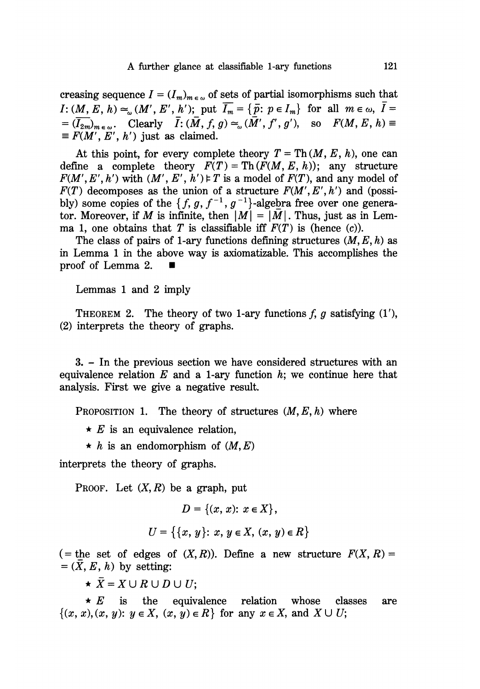creasing sequence  $I = (I_m)_{m \in \omega}$  of sets of partial isomorphisms such that  $I: (M, E, h) \simeq_{\omega} (M', E', h')$ ; put  $\overline{I_m} = {\overline{p}}$ :  $p \in I_m$ } for all  $m \in \omega$ ,  $\overline{I} =$  $\overline{(I_{2m})}_{m \in \omega}$ . Clearly  $\overline{I}: (\overline{M}, f, g) \approx_{\omega} (\overline{M}', f', g')$ , so  $F(M, E, h) \equiv$ <br>  $\equiv F(M', E', h')$  just as claimed.

At this point, for every complete theory  $T = Th(M, E, h)$ , one can define a complete theory  $F(T) = Th(F(M, E, h))$ ; any structure  $F(M', E', h')$  with  $(M', E', h') \models T$  is a model of  $F(T)$ , and any model of  $F(T)$  decomposes as the union of a structure  $F(M', E', h')$  and (possibly) some copies of the  $\{f, g, f^{-1}, g^{-1}\}$ -algebra free over one generator. Moreover, if M is infinite, then  $|M| = |\overline{M}|$ . Thus, just as in Lemma 1, one obtains that T is classifiable iff  $F(T)$  is (hence (c)).

The class of pairs of 1-ary functions defining structures  $(M, E, h)$  as in Lemma 1 in the above way is axiomatizable. This accomplishes the proof of Lemma 2.

Lemmas 1 and 2 imply

THEOREM 2. The theory of two 1-ary functions  $f, g$  satisfying  $(1'),$ (2) interprets the theory of graphs.

3. - In the previous section we have considered structures with an equivalence relation  $E$  and a 1-ary function  $h$ ; we continue here that analysis. First we give a negative result.

PROPOSITION 1. The theory of structures  $(M, E, h)$  where

 $\star$  E is an equivalence relation,

 $\star$  h is an endomorphism of  $(M, E)$ 

interprets the theory of graphs.

PROOF. Let  $(X, R)$  be a graph, put

$$
D = \{(x, x): x \in X\},\
$$
  

$$
U = \{\{x, y\}: x, y \in X, (x, y) \in R\}
$$

( = the set of edges of  $(X, R)$ ). Define a new structure  $F(X, R) =$ <br>=  $(\overline{X}, E, h)$  by setting:

 $\star \bar{X} = X \cup R \cup D \cup U;$ 

 $\star E$  is the equivalence relation whose classes are  $\{(x, x), (x, y): y \in X, (x, y) \in R\}$  for any  $x \in X$ , and  $X \cup U$ ;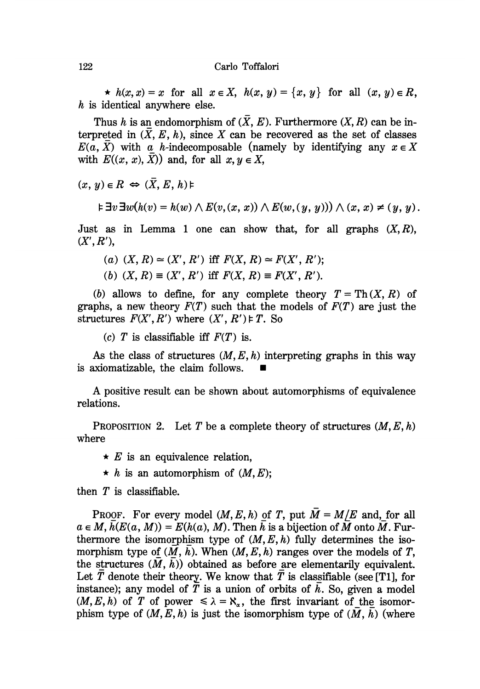$\star$   $h(x, x) = x$  for all  $x \in X$ ,  $h(x, y) = \{x, y\}$  for all  $(x, y) \in R$ ,  $h$  is identical anywhere else.

Thus h is an endomorphism of  $(\bar{X}, E)$ . Furthermore  $(X, R)$  can be interpreted in  $(X, E, h)$ , since X can be recovered as the set of classes  $E(a, \overline{X})$  with a h-indecomposable (namely by identifying any  $x \in X$ with  $E((x, x), \overline{X})$  and, for all  $x, y \in X$ ,

 $(x, y) \in R \Leftrightarrow (\overline{X}, E, h) \models$ 

$$
\models \exists v \exists w (h(v) = h(w) \land E(v, (x, x)) \land E(w, (y, y))) \land (x, x) \neq (y, y).
$$

Just as in Lemma 1 one can show that, for all graphs  $(X, R)$ ,  $(X', R'),$ 

(a)  $(X, R) \simeq (X', R')$  iff  $F(X, R) \simeq F(X', R')$ ;

(b)  $(X, R) \equiv (X', R')$  iff  $F(X, R) \equiv F(X', R')$ .

(b) allows to define, for any complete theory  $T = Th(X, R)$  of graphs, a new theory  $F(T)$  such that the models of  $F(T)$  are just the structures  $F(X', R')$  where  $(X', R') \models T$ . So

(c) T is classifiable iff  $F(T)$  is.

As the class of structures  $(M, E, h)$  interpreting graphs in this way is axiomatizable, the claim follows.

A positive result can be shown about automorphisms of equivalence relations.

PROPOSITION 2. Let T be a complete theory of structures  $(M, E, h)$ where

- $\star$  E is an equivalence relation,
- $\star$  h is an automorphism of  $(M, E)$ ;

then  $T$  is classifiable.

PROOF. For every model  $(M, E, h)$  of T, put  $\overline{M} = M/E$  and, for all  $a \in M$ ,  $h(E(a, M)) = E(h(a), M)$ . Then h is a bijection of M onto M. Furthermore the isomorphism type of  $(M, E, h)$  fully determines the isomorphism type of  $(M, h)$ . When  $(M, E, h)$  ranges over the models of T, the structures  $(M, h)$  obtained as before are elementarily equivalent. Let  $\overline{T}$  denote their theory. We know that  $T$  is classifiable (see [T1], for instance); any model of T is a union of orbits of  $h$ . So, given a model  $(M, E, h)$  of T of power  $\le \lambda = \aleph_{\alpha}$ , the first invariant of the isomorphism type of  $(M, E, h)$  is just the isomorphism type of  $(M, h)$  (where

122